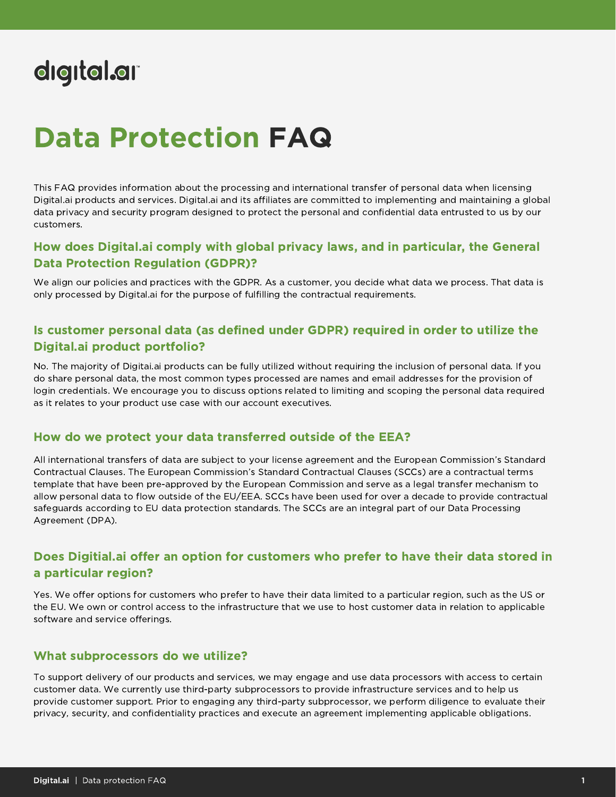# digital.ar

# Data Protection FAQ

This FAQ provides information about the processing and international transfer of personal data when licensing Digital.ai products and services. Digital.ai and its affiliates are committed to implementing and maintaining a global data privacy and security program designed to protect the personal and confidential data entrusted to us by our customers.

### How does Digital.ai comply with global privacy laws, and in particular, the General Data Protection Regulation (GDPR)?

We align our policies and practices with the GDPR. As a customer, you decide what data we process. That data is only processed by Digital.ai for the purpose of fulfilling the contractual requirements.

# Is customer personal data (as defined under GDPR) required in order to utilize the Digital.ai product portfolio?

No. The majority of Digitai.ai products can be fully utilized without requiring the inclusion of personal data. If you do share personal data, the most common types processed are names and email addresses for the provision of login credentials. We encourage you to discuss options related to limiting and scoping the personal data required as it relates to your product use case with our account executives.

#### How do we protect your data transferred outside of the EEA?

All international transfers of data are subject to your license agreement and the European Commission's Standard Contractual Clauses. The European Commission's Standard Contractual Clauses (SCCs) are a contractual terms template that have been pre-approved by the European Commission and serve as a legal transfer mechanism to allow personal data to flow outside of the EU/EEA. SCCs have been used for over a decade to provide contractual safeguards according to EU data protection standards. The SCCs are an integral part of our Data Processing Agreement (DPA).

# Does Digitial.ai offer an option for customers who prefer to have their data stored in a particular region?

Yes. We offer options for customers who prefer to have their data limited to a particular region, such as the US or the EU. We own or control access to the infrastructure that we use to host customer data in relation to applicable software and service offerings.

#### What subprocessors do we utilize?

To support delivery of our products and services, we may engage and use data processors with access to certain customer data. We currently use third-party subprocessors to provide infrastructure services and to help us provide customer support. Prior to engaging any third-party subprocessor, we perform diligence to evaluate their privacy, security, and confidentiality practices and execute an agreement implementing applicable obligations.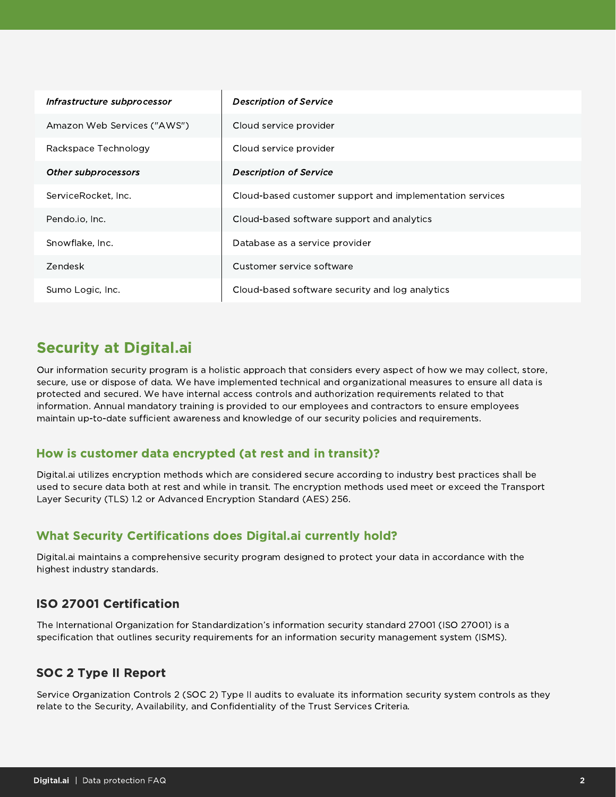| Infrastructure subprocessor | <b>Description of Service</b>                            |
|-----------------------------|----------------------------------------------------------|
| Amazon Web Services ("AWS") | Cloud service provider                                   |
| Rackspace Technology        | Cloud service provider                                   |
| Other subprocessors         | <b>Description of Service</b>                            |
| ServiceRocket, Inc.         | Cloud-based customer support and implementation services |
| Pendo.io, Inc.              | Cloud-based software support and analytics               |
| Snowflake, Inc.             | Database as a service provider                           |
| <b>Zendesk</b>              | Customer service software                                |
| Sumo Logic, Inc.            | Cloud-based software security and log analytics          |

# Security at Digital.ai

Our information security program is a holistic approach that considers every aspect of how we may collect, store, secure, use or dispose of data. We have implemented technical and organizational measures to ensure all data is protected and secured. We have internal access controls and authorization requirements related to that information. Annual mandatory training is provided to our employees and contractors to ensure employees maintain up-to-date sufficient awareness and knowledge of our security policies and requirements.

### How is customer data encrypted (at rest and in transit)?

Digital.ai utilizes encryption methods which are considered secure according to industry best practices shall be used to secure data both at rest and while in transit. The encryption methods used meet or exceed the Transport Layer Security (TLS) 1.2 or Advanced Encryption Standard (AES) 256.

# What Security Certifications does Digital.ai currently hold?

Digital.ai maintains a comprehensive security program designed to protect your data in accordance with the highest industry standards.

# ISO 27001 Certification

The International Organization for Standardization's information security standard 27001 (ISO 27001) is a specification that outlines security requirements for an information security management system (ISMS).

### SOC 2 Type II Report

Service Organization Controls 2 (SOC 2) Type II audits to evaluate its information security system controls as they relate to the Security, Availability, and Confidentiality of the Trust Services Criteria.